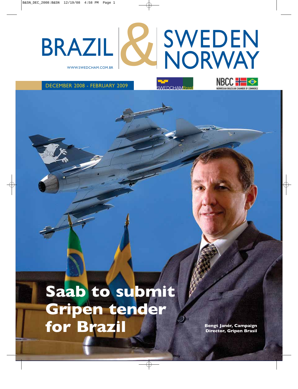# WWW.SWEDCHAM.COM.BR SWEDEN BRAZIL & SWEDEN

WFDCHAMBra

DECEMBER 2008 - FEBRUARY 2009

**Saab to submit Gripen tender** for Brazil **Brazil** Bengt Janér, Campaign

**Director, Gripen Brasil**

**EWEGIAN RRAZILIAN CHAMBER OF COMMERCE**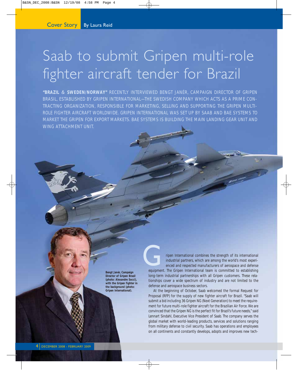# Saab to submit Gripen multi-role fighter aircraft tender for Brazil

**"BRAZIL** & **SWEDEN/NORWAY"** RECENTLY INTERVIEWED BENGT JANÉR, CAMPAIGN DIRECTOR OF GRIPEN BRASIL, ESTABLISHED BY GRIPEN INTERNATIONAL—THE SWEDISH COMPANY WHICH ACTS AS A PRIME CON-TRACTING ORGANIZATION, RESPONSIBLE FOR MARKETING, SELLING AND SUPPORTING THE GRIPEN MULTI-ROLE FIGHTER AIRCRAFT WORLDWIDE. GRIPEN INTERNATIONAL WAS SET UP BY SAAB AND BAE SYSTEMS TO MARKET THE GRIPEN FOR EXPORT MARKETS. BAE SYSTEMS IS BUILDING THE MAIN LANDING GEAR UNIT AND WING ATTACHMENT UNIT.

**Bengt Janér, Campaign Director of Gripen Brasil (photo: Alexandre Socci), with the Gripen fighter in the background (photo: Gripen International).**

ripen International combines the strength of its international industrial partners, which are among the world's most experienced and respected manufacturers of aerospace and defense ripen International combines the strength of its international<br>industrial partners, which are among the world's most experi-<br>enced and respected manufacturers of aerospace and defense<br>equipment. The Gripen International te long-term industrial partnerships with all Gripen customers. These relationships cover a wide spectrum of industry and are not limited to the defense and aerospace business sectors.

At the beginning of October, Saab welcomed the formal Request for Proposal (RFP) for the supply of new fighter aircraft for Brazil. "Saab will submit a bid including 36 Gripen NG (Next Generation) to meet the requirement for future multi-role fighter aircraft for the Brazilian Air Force. We are convinced that the Gripen NG is the perfect fit for Brazil's future needs," said Lennart Sindahl, Executive Vice President of Saab. The company serves the global market with world-leading products, services and solutions ranging from military defense to civil security. Saab has operations and employees on all continents and constantly develops, adopts and improves new tech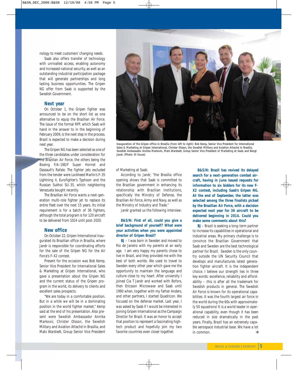nology to meet customers' changing needs.

Saab also offers transfer of technology with unrivalled access, enabling autonomy and increased national security, as well as an outstanding industrial participation package that will generate partnerships and long lasting business opportunities. The Gripen NG offer from Saab is supported by the Swedish Government.

#### **Next year**

On October 1, the Gripen fighter was announced to be on the short list as one alternative to equip the Brazilian Air Force. The issue of the formal RFP, which Saab will hand in the answer to in the beginning of February 2009, is the next step in the process. Brazil is expected to make a decision during next year.

The Gripen NG has been selected as one of the three candidates under consideration for the Brazilian Air Force, the others being the Boeing F/A-18E/F Super Hornet and Dassault's Rafale. The fighter jets excluded from the tender were Lockheed Martin's F-35 Lightning II, Eurofighter's Typhoon and the Russian Sukhoi SU-35, which neighboring Venezuela bought recently.

The Brazilian Air Force wants a next-generation multi-role fighter jet to replace its entire fleet over the next 15 years. Its initial requirement is for a batch of 36 fighters, although the total program is for 120 aircraft to be delivered from 1014 until post-2020.

#### **New office**

On October 22, Gripen International inaugurated its Brazilian office in Brasília, where Janér is responsible for coordinating efforts for the sale of the Gripen NG for the Air Force's F-X2 contest.

Present for the occasion was Bob Kemp, Senior Vice President for International Sales & Marketing at Gripen International, who gave a presentation about the Gripen NG and the current status of the Gripen program in the world, its delivery to clients and excellent sales prospects.

"We are today in a comfortable position. But in a while we will be in a dominating position in the world fighter market," Kemp said at the end of his presentation. Also present were Swedish Ambassador Annika Markovic, Christer Olsson, the Swedish Military and Aviation Attaché in Brasília, and Mats Warstedt, Group Senior Vice President



**Inauguration of the Gripen office in Brasília (from left to right): Bob Kemp, Senior Vice President for International Sales & Marketing at Gripen International, Christer Olsson, the Swedish Military and Aviation Attaché in Brasília, Swedish Ambassador Annika Markovic, Mats Warstedt, Group Senior Vice President of Marketing at Saab, and Bengt Janér. (Photo: Di Souza)**

of Marketing at Saab.

According to Janér, "the Brasília office opening shows that Saab is committed to the Brazilian government in enhancing its relationship with Brazilian institutions, specifically the Ministry of Defense, the Brazilian Air Force, Army and Navy, as well as the Ministry of Industry and Trade."

Janér granted us the following interview:

#### **B&S/N: First of all, could you give a brief background of yourself? What were your activities when you were appointed director of Gripen Brasil?**

**BJ** – I was born in Sweden and moved to Rio de Janeiro with my parents at an early age. I am very happy my parents chose to live in Brazil, and they provided me with the best of both worlds. We used to travel to Sweden every other year which gave me the opportunity to maintain the language and culture close to my heart. After university I joined Cia T Janér and worked with Bofors, then Ericsson Microwave and Saab until 1990 when, together with my father Anders, and other partners, I started Quadricon. We focused on the defense market. Last year, I was asked by Saab if I would be interested in joining Gripen International as the Campaign Director for Brazil. It was an honor to accept that position to represent a fascinating hightech product and hopefully join my two favorite countries even closer together.

**B&S/N: Brazil has revived its delayed search for a next-generation combat aircraft, having in June issued requests for information to six bidders for its new F-X2 contest, including Saab's Gripen NG. At the end of September, the latter was selected among the three finalists picked by the Brazilian Air Force, with a decision expected next year for 36 aircraft to be delivered beginning in 2014. Could you make some comments about this?**

**BJ** – Brazil is seeking a long-term partner to increase its capabilities in operational and industrial areas. My primary challenge is to convince the Brazilian Government that Saab and Sweden are the best technological partner for Brazil. Sweden is the only country outside the UN Security Council that develops and manufactures latest generation fighter aircraft. It is the independent choice. I believe our strength lies in three key words: excellence, reliability and affordability – this is after all the trademark for Swedish products in general. The Swedish Air Force is known for its operational capabilities. It was the fourth largest air force in the world during the 60s with approximately 50 squadrons! It is a world leader in operational capability, even though it has been reduced in size dramatically in the past years. Finally, Brazil has an extremely capable aerospace industrial base. We have a lot in common. د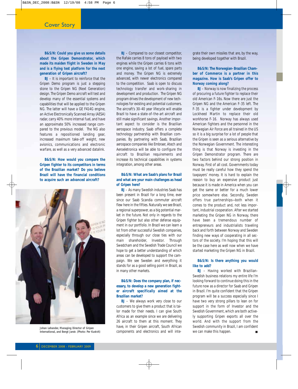**B&S/N: Could you give us some details about the Gripen Demonstrator, which made its maiden flight in Sweden in May and is a flying test platform for the next generation of Gripen aircraft?**

**BJ** – It is important to reinforce that the Gripen Demo program is just a stepping stone to the Gripen NG (Next Generation) design. The Gripen Demo aircraft will test and develop many of the essential systems and capabilities that will be applied to the Gripen NG. The latter will have a GE F414G engine, an Active Electronically Scanned Array (AESA) radar, carry 40% more internal fuel, and have an approximate 50% increased range compared to the previous model. The NG also features a repositioned landing gear, increased maximum take-off weight, new avionics, communications and electronic warfare, as well as a very advanced datalink.

**B&S/N: How would you compare the Gripen fighter to its competitors in terms of the Brazilian market? Do you believe Brazil will have the financial conditions to acquire such an advanced aircraft?**



**Johan Lehander, Managing Director of Gripen International, and Bengt Janér. (Photo: Per Kustvit)**

**BJ** – Compared to our closest competitor, the Rafale carries 8 tons of payload with two engines while the Gripen carries 6 tons with one engine, saving a lot of fuel, spare parts and money. The Gripen NG is extremely advanced, with newer electronics compared to the competition. Saab is open to discuss technology transfer and work-sharing in development and production. The Gripen NG program drives the development of new technologies for existing and potential customers. The aircraft's 30-40 year lifecycle will enable Brazil to have a state-of-the-art aircraft and still make significant savings. Another important aspect to consider is the Brazilian aerospace industry. Saab offers a complete technology partnership with Brazilian companies. By partnering with Saab, Brazilian aerospace companies like Embraer, Atech and Aeroeletronica will be able to configure the aircraft to Brazilian requirements and increase its technical capabilities in systems integration, among other areas.

#### **B&S/N: What are Saab's plans for Brazil and what are your main challenges as head of Gripen here?**

**BJ** – As many Swedish industries Saab has been present in Brazil for a long time, ever since our Saab Scandia commuter aircraft flew here in the fifties. Naturally we see Brazil, a regional superpower, as a big potential market in the future. Not only in regards to the Gripen fighter but also other defense equipment in our portfolio. In Brazil we can learn a lot from other successful Swedish companies, especially through our close ties with our main shareholder, Investor. Through Swedcham and the Swedish Trade Council we hope to get a better understanding of which areas can be developed to support the campaign. We see Sweden and everything it stands for as a good selling point in Brazil, as in many other markets.

#### **B&S/N: Does the company plan, if necessary, to develop a new generation fighter aircraft specifically aimed at the Brazilian market?**

**BJ** – We always work very close to our customers to give them a product that is tailor made for their needs. I can give South Africa as an example since we are delivering 26 aircraft to them at this moment. They have, in their Gripen aircraft, South African components and electronics and will integrate their own missiles that are, by the way, being developed together with Brazil.

#### **B&S/N: The Norwegian-Brazilian Chamber of Commerce is a partner in this magazine. How is Saab's Gripen offer to Norway coming along?**

**BJ** – Norway is now finalizing the process of procuring a future fighter to replace their old American F-16s. Now there are just the Gripen NG and the American F-35 left. The F-35 is a fighter under development by Lockheed Martin to replace their old workhorse F-16. Norway has always used American fighters and the personnel in the Norwegian Air Force are all trained in the US so it is a big surprise for a lot of people that the Gripen is seen as a serious alternative by the Norwegian Government. The interesting thing is that Norway is investing in the Gripen Demonstrator program. There are two factors behind our strong position in Norway. First of all cost. Governments today must be really careful how they spend the taxpayers' money. It is hard to explain the reason to buy an expensive product just because it is made in America when you can get the same or better for a much lower price somewhere else. Secondly, Sweden offers true partnerships—both when it comes to the product and, not less important, industrial cooperation. After we started marketing the Gripen NG in Norway, there have been a tremendous number of entrepreneurs and industrialists traveling back and forth between Norway and Sweden finding new ways of cooperating in all sectors of the society. I'm hoping that this will be the case here as well now when we have started marketing the Gripen NG in Brazil.

#### **B&S/N: Is there anything you would like to add?**

**BJ** – Having worked with Brazilian-Swedish business relations my entire life I'm looking forward to continue doing this in the future now as a director for Saab and Gripen in Brazil. I'm quite confident that the Gripen program will be a success especially since I have two very strong pillars to lean on for support in the form of Investor and the Swedish Government, which are both actively supporting Gripen exports all over the world. And with the support from the Swedish community in Brazil, I am confident we can make this happen.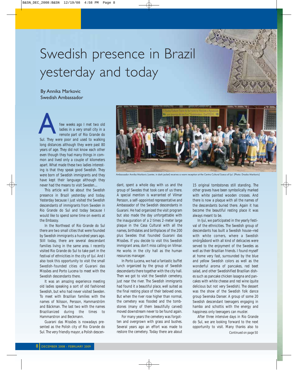# Swedish presence in Brazil yesterday and today

By Annika Markovic Swedish Ambassador

few weeks ago I met two old ladies in a very small city in a remote part of Rio Grande do Few weeks ago I met two old ladies in a very small city in a remote part of Rio Grande do Sul. They were poor and used to walking long distances although they were past 80 years of age. They did not know each other even though they had many things in common and lived only a couple of kilometers apart. What made these two ladies interesting is that they speak good Swedish. They were born of Swedish immigrants and they have kept their language although they never had the means to visit Sweden....

This article will be about the Swedish presence in Brazil yesterday and today. Yesterday because I just visited the Swedish descendants of immigrants from Sweden in Rio Grande do Sul and today because I would like to spend some time on events at the Embassy.

In the Northeast of Rio Grande do Sul there are two small cities that were founded by Swedish immigrants a hundred years ago. Still today, there are several descendant families living in the same area. I recently visited Rio Grande do Sul to take part in the festival of ethnicities in the city of Ijuí. And I also took this opportunity to visit the small Swedish-founded cities of Guarani das Missões and Porto Lucena to meet with the Swedish descendants there.

It was an amazing experience meeting old ladies speaking a sort of old fashioned Swedish, but who had never visited Sweden. To meet with Brazilian families with the names of Nilsson, Persson, Hammarström and Bäckman. The last two with the names Brazilianized during the times to Hammarstron and Beckmann.

Guarani das Missões is nowadays presented as the Polish city of Rio Grande do Sul. The very friendly mayor, a Polish descen-



Ambassador Annika Markovic (center, in dark jacket) receives a warm reception at the Centro Cultural Sueco of Ijuí. (Photo: Drasko Markovic)

dant, spent a whole day with us and the group of Swedes that took care of us there. A special mention is warranted of Vilmar Persson, a self-appointed representative and Ambassador of the Swedish descendants in Guarani. He had organized the visit program but also made the day unforgettable with the inauguration of a 2 times 2-meter large plaque in the Casa Cultural with all the names, birthdates and birthplaces of the 200 plus Swedes that founded Guarani das Missões. If you decide to visit this Swedish immigrant area, don't miss calling on Vilmar. He works in the city hall as the human resources manager.

In Porto Lucena, we had a fantastic buffet lunch organized by the group of Swedish descendants there together with the city hall. Then we got to visit the Swedish cemetery, just near the river. The Swedish immigrants had found it a beautiful place, well suited as the final resting place of their beloved ones. But when the river rose higher than normal, the cemetery was flooded and the tombstones (many of them beautifully carved) moved downstream never to be found again.

For many years the cemetery was forgotten and overgrown with grass and bushes. Several years ago an effort was made to restore the cemetery. Today there are about

15 original tombstones still standing. The other graves have been symbolically marked with white painted wooden crosses. And there is now a plaque with all the names of the descendants buried there. Again it has become the beautiful resting place it was always meant to be.

In Ijuí, we participated in the yearly festival of the ethnicities. The Swedish group of descendants has built a Swedish house—red with white corners, where a Swedish smörgåsbord with all kind of delicacies were served to the enjoyment of the Swedes as well as their Brazilian friends. I found myself at home very fast, surrounded by the blue and yellow Swedish colors as well as the wonderful aroma of pancakes, red beet salad, and other Swedishified Brazilian dishes such as pancake chicken lasagna and pancakes with white cheese and red wine (quite delicious but not very Swedish). The dessert was the show of the Swedish folk dance group Swenska Danser. A group of some 20 Swedish descendant teenagers engaging in hambo and schottis with the energy and happiness only teenagers can muster.

After three intensive days in Rio Grande do Sul, we are looking forward to the next opportunity to visit. Many thanks also to *Continued on page 50*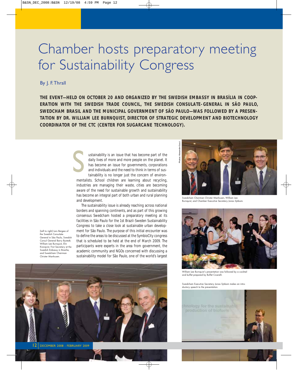# Chamber hosts preparatory meeting for Sustainability Congress

#### By J. F.Thrall

**THE EVENT—HELD ON OCTOBER 20 AND ORGANIZED BY THE SWEDISH EMBASSY IN BRASÍLIA IN COOP-ERATION WITH THE SWEDISH TRADE COUNCIL, THE SWEDISH CONSULATE-GENERAL IN SÃO PAULO, SWEDCHAM BRASIL AND THE MUNICIPAL GOVERNMENT OF SÃO PAULO—WAS FOLLOWED BY A PRESEN-TATION BY DR. WILLIAM LEE BURNQUIST, DIRECTOR OF STRATEGIC DEVELOPMENT AND BIOTECHNOLOGY COORDINATOR OF THE CTC (CENTER FOR SUGARCANE TECHNOLOGY).**

> ustainability is an issue that has become part of the daily lives of more and more people on the planet. It has become an issue for governments, corporations and individuals and the need to think in terms of sustainability is no longer just the concern of environmentalists. School children are learning about recycling, industries are managing their waste, cities are becoming aware of the need for sustainable growth and sustainability has become an integral part of both urban and rural planning and development. S

The sustainability issue is already reaching across national borders and spanning continents, and as part of this growing consensus Swedcham hosted a preparatory meeting at its facilities in São Paulo for the 1st Brazil-Sweden Sustainability Congress to take a close look at sustainable urban development for São Paulo. The purpose of this initial encounter was to define the areas to be discussed at the SymbioCity congress that is scheduled to be held at the end of March 2009. The participants were experts in the area from government, the academic community and NGOs concerned with discussing a sustainability model for São Paulo, one of the world's largest

(Left to right) Lars Bergea of the Swedish Consulat General in São Paulo, Swedish Consul General Barry Bystedt, William Lee Burnquist, Elin Kronqvist, First Secretary at the Swedish Embassy in Brasília, and Swedcham Chairman Christer Manhusen.





Burnquist, and Chamber Executive Secretary Jonas Sjöbom.



William Lee Burnquist's presentation was followed by a cocktail and buffet prepared by Buffet Cicarelli.

Swedcham Executive Secretary Jonas Sjöbom makes an introductory speech to the presentation.

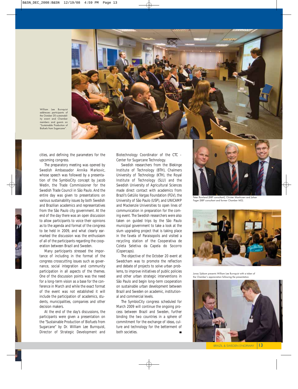

William Lee Burnquist addresses participants of the October 20 sustainability event and Chamber members and guests on "Sustainable Production of Biofuels from Sugarcane".

cities, and defining the parameters for the upcoming congress.

The preparatory meeting was opened by Swedish Ambassador Annika Markovic, whose speech was followed by a presentation of the SymbioCity concept by Jacob Wedin, the Trade Commissioner for the Swedish Trade Council in São Paulo. And the entire day was given to presentations on various sustainability issues by both Swedish and Brazilian academics and representatives from the São Paulo city government. At the end of the day there was an open discussion to allow participants to voice their opinions as to the agenda and format of the congress to be held in 2009, and what clearly earmarked the discussion was the enthusiasm of all of the participants regarding the cooperation between Brazil and Sweden.

Many participants stressed the importance of including in the format of the congress crosscutting issues such as governance, social integration and community participation in all aspects of the themes. One of the discussion points was the need for a long-term vision as a base for the conference in March and while the exact format of the event was not established it will include the participation of academics, students, municipalities, companies and other decision makers.

At the end of the day's discussions, the participants were given a presentation on the "Sustainable Production of Biofuels from Sugarcane" by Dr. William Lee Burnquist, Director of Strategic Development and

Biotechnology Coordinator of the CTC - Center for Sugarcane Technology.

Swedish researchers from the Blekinge Institute of Technology (BTH), Chalmers University of Technology (KTH), the Royal Institute of Technology (SLU) and the Swedish University of Agricultural Sciences made direct contact with academics from Brazil's Getúlio Vargas Foundation (FGV), the University of São Paulo (USP), and UNICAMP and Mackenzie Universities to open lines of communication in preparation for the coming event. The Swedish researchers were also taken on guided trips by the São Paulo municipal government to take a look at the slum upgrading project that is taking place in the *favela* of Paraisopolis and visited a recycling station of the Cooperativa de Coleta Seletiva da Capela do Socorro (Copercaps).

The objective of the October 20 event at Swedcham was to promote the reflection and debate of projects to solve urban problems, to improve initiatives of public policies and other urban strategic interventions in São Paulo and begin long-term cooperation on sustainable urban development between Brazil and Sweden on academic, institutional and commercial levels.

The SymbioCity congress scheduled for March 2009 will continue the ongoing process between Brazil and Sweden, further binding the two countries in a sphere of commitment for the exchange of ideas, culture and technology for the betterment of both societies.



Peter Rowland (BBP consultant), Christer Manhusen and Johan Fager (BBP consultant and former Chamber MD).



Jonas Sjöbom presents William Lee Burnquist with a token of the Chamber's appreciation following the presentation.

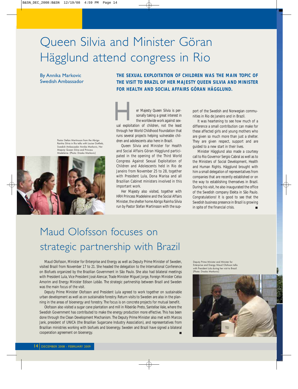# Queen Silvia and Minister Göran Hägglund attend congress in Rio

#### By Annika Markovic Swedish Ambassador

**THE VISIT TO BRAZIL OF HER MAJESTY QUEEN SILVIA AND MINISTER FOR HEALTH AND SOCIAL AFFAIRS GÖRAN HÄGGLUND.**

**THE SEXUAL EXPLOITATION OF CHILDREN WAS THE MAIN TOPIC OF**

Pastor Stefan Martinsson from the Abrigo Rainha Silvia in Rio talks with Louise Gottlieb, Swedish Ambassador Annika Markovic, Her Majesty Queen Silvia and Princess Madeleine. (Photo: Drasko Markovic)



er Majesty Queen Silvia is personally taking a great interest in the worldwide work against sexer Majesty Queen Silvia is per-<br>sonally taking a great interest in<br>the worldwide work against sex-<br>ual exploitation of children, not the least through her World Childhood Foundation that runs several projects helping vulnerable children and adolescents also here in Brazil.

Queen Silvia and Minister for Health and Social Affairs Göran Hägglund participated in the opening of the Third World Congress Against Sexual Exploitation of Children and Adolescents held in Rio de Janeiro from November 25 to 28, together with President Lula, Dona Marisa and all Brazilian Cabinet ministers involved in this important work.

Her Majesty also visited, together with HRH Princess Madeleine and the Social Affairs Minister, the shelter home Abrigo Rainha Silvia run by Pastor Stefan Martinsson with the support of the Swedish and Norwegian communities in Rio de Janeiro and in Brazil.

It was heartening to see how much of a difference a small contribution can make for these affected girls and young mothers who are given so much more than just a shelter. They are given respect, support and are guided to a new start in their lives.

Minister Hägglund also made a courtesy call to Rio Governor Sergio Cabral as well as to the Ministers of Social Development, Health and Human Rights. Hägglund brought with him a small delegation of representatives from companies that are recently established or on the way to establishing themselves in Brazil. During his visit, he also inaugurated the office of the Swedish company Elekta in São Paulo. Congratulations! It is good to see that the Swedish business presence in Brazil is growing in spite of the financial crisis.

### Maud Olofsson focuses on strategic partnership with Brazil

Maud Olofsson, Minister for Enterprise and Energy as well as Deputy Prime Minister of Sweden, visited Brazil from November 17 to 21. She headed the delegation to the International Conference on Biofuels organized by the Brazilian Government in São Paulo. She also had bilateral meetings with President Lula, Vice President José Alencar, Trade Minister Miguel Jorge, Foreign Minister Celso Amorim and Energy Minister Edison Lobão. The strategic partnership between Brazil and Sweden was the main focus of the visit.

Deputy Prime Minister Olofsson and President Lula agreed to work together on sustainable urban development as well as on sustainable forestry. Return visits to Sweden are also in the planning in the areas of bioenergy and forestry. The focus is on concrete projects for mutual benefit.

Olofsson also visited a sugar cane plantation and mill in Ribeirão Preto, Santelise Vale, where the Swedish Government has contributed to make the energy production more effective. This has been done through the Clean Development Mechanism. The Deputy Prime Minister also met with Marcos Jank, president of UNICA (the Brazilian Sugarcane Industry Association), and representatives from Brazilian ministries working with biofuels and bioenergy. Sweden and Brazil have signed a bilateral cooperation agreement on bioenergy.

Deputy Prime Minister and Minister for Enterprise and Energy Maud Olofsson talks with President Lula during her visit to Brazil. (Photo: Drasko Markovic)

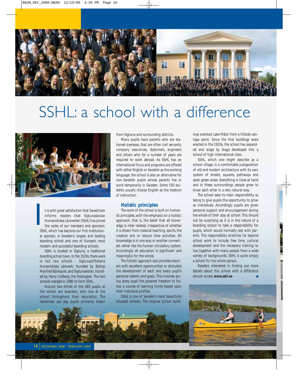

# SSHL: a school with a difference



t is with great satisfaction that Swedcham informs readers that Sigtunaskolan Humanistiska Läroverket (SSHL) has joined the ranks of our members and sponsors. SSHL, which has become our first institutional sponsor, is Sweden's largest and leading boarding school and one of Europe's most modern and successful boarding schools.  $\blacksquare$ 

SSHL is located in Sigtuna, a traditional boarding school town. In the 1920s, there were in fact two schools – Sigtunastiftelsens Humanistiska Läroverk, founded by Bishop Manfred Björkquist, and Sigtunaskolan, founded by Harry Cullberg, the theologian. The two schools merged in 1980 to form SSHL.

Around two-thirds of the 580 pupils at the school are boarders, who live at the school throughout their education. The remainder are day pupils primarily drawn from Sigtuna and surrounding districts.

Many pupils have parents who are stationed overseas, that are often civil servants, company executives, diplomats, engineers and others who for a number of years are required to work abroad. As SSHL has an international focus and programs are offered with either English or Swedish as the working language, the school is also an alternative for non-Swedish pupils whose parents live or work temporarily in Sweden. Some 150 students usually choose English as the medium of instruction.

#### **Holistic principles**

The work of the school is built on humanist principles, with the emphasis on a holistic approach, that is, the belief that all knowledge is inter-related, irrespective of whether it is drawn from classical teaching, sports, the creative arts or leisure time activities. All knowledge is in one way or another connected, rather like the human circulatory system. Accordingly all education is significant and meaningful for the whole.

The holistic approach also provides teachers with excellent opportunities to stimulate the development of each and every pupil's personal talents and goals. This involves giving every pupil the greatest freedom to follow a course of learning firmly based upon their individual profiles.

SSHL is one of Sweden's most beautifully situated schools. The original school buildings overlook Lake Mälar from a hillside vantage point. Since the first buildings were erected in the 1920s, the school has expanded and stage by stage developed into a school of high international class.

SSHL, which one might describe as a school village, is a comfortable juxtaposition of old and modern architecture with its own system of streets, squares, pathways and open green areas. Everything is close at hand and in these surroundings people grow to know each other in a very natural way.

The school sees its main responsibility as being to give pupils the opportunity to grow as individuals. Accordingly pupils are given personal support and encouragement during the whole of their stay at school. This should not be surprising as it is in the nature of a boarding school to take a responsibility for pupils, which would normally rest with parents. This responsibility stretches far beyond school work to include free time, cultural development and the necessary training to live together with many people from a wide variety of backgrounds. SSHL is quite simply a school for the whole person.

Readers interested in finding out more details about this school with a difference should access **www.sshl.se**

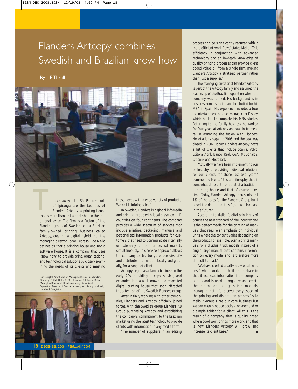### Elanders Artcopy combines Swedish and Brazilian know-how

#### By J. F. Thrall



ucked away in the São Paulo suburb of Ipiranga are the facilities of Elanders Artcopy, a printing house that is more than just a print shop in the traditional sense. The firm is a fusion of the Elanders group of Sweden and a Brazilian family-owned printing business called Artcopy, creating a digital hybrid that the managing director Todor Pedrasolli de Mello defines as "not a printing house and not a software house. It is a company that uses 'know how' to provide print, organizational and technological solutions by closely examining the needs of its clients and meeting That is

(Left to right) Peter Sommer, Managing Director of Elanders Germany, Patrick Holm, CEO of Elanders AB, Todor Mello, Managing Director of Elanders Artcopy, Sonia Mello, Operations Director of Elanders Artcopy, and Jimmy Lundbeck, Head of Infologistics.



18 DECEMBER 2008 - FEBRUARY 2009

those needs with a wide variety of products. We call it Infologistics."

In Sweden, Elanders is a global infomedia and printing group with local presence in 11 countries on four continents. The company provides a wide spectrum of services that include printing, packaging, manuals and personalized information products for customers that need to communicate internally or externally, on one or several markets simultaneously. This service approach allows the company to structure, produce, diversify and distribute information, locally and globally, for a range of clients.

Artcopy began as a family business in the early 70s, providing a copy service, and expanded into a well-known and respected digital printing house that soon attracted the attention of the Swedish Elanders group.

After initially working with other companies, Elanders and Artcopy officially joined forces, with the Swedish group Elanders AB Group purchasing Artcopy and establishing the company's commitment to the Brazilian market using the latest technology to provide clients with information in any media form.

"The number of suppliers in an editing

process can be significantly reduced with a more efficient work flow," states Mello. "This efficiency in conjunction with advanced technology and an in-depth knowledge of quality printing processes can provide client added value, all from a single firm, making Elanders Artcopy a strategic partner rather than just a supplier."

The managing director of Elanders Artcopy is part of the Artcopy family and assumed the leadership of the Brazilian operation when the company was formed. His background is in business administration and he studied for his MBA in Spain. His experience includes a tour as entertainment product manager for Disney, which he left to complete his MBA studies. Returning to the family business, he worked for four years at Artcopy and was instrumental in arranging the fusion with Elanders. Negotiations began in 2006 and the deal was closed in 2007. Today, Elanders Artcopy hosts a list of clients that include Scania, Volvo, Editora Abril, Banco Real, C&A, McDonald's, Citibank and Microsoft.

"Actually we have been implementing our philosophy for providing individual solutions for our clients for these last two years," commented Mello. "It is a philosophy that is somewhat different from that of a traditional printing house and that of course takes time. Today, Elanders Artcopy represents just 1% of the sales for the Elanders Group but I have little doubt that this figure will increase in the future."

According to Mello, "digital printing is of course the new standard of the industry and is the perfect media for the printing of manuals that require an emphasis on individual units where the content varies depending on the product. For example, Scania prints manuals for individual truck models instead of a single large manual that contains information on every model and is therefore more difficult to read."

"We have created a software we call 'web base' which works much like a database in that it accesses information from company portals and is used to organize and create the information that goes into manuals, managing that info to cover every aspect of the printing and distribution process," said Mello. "Manuals are our core business but we can even produce books – on-demand or a simple folder for a client. All this is the result of a company that is quality based where good work brings more work, and that is how Elanders Artcopy will grow and increase its client base."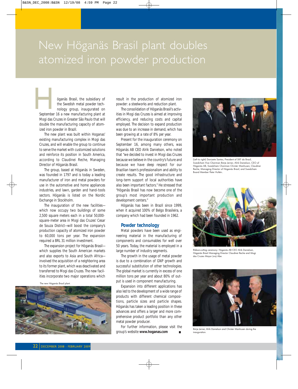## New Höganäs Brasil plant doubles atomized iron powder production

öganäs Brasil, the subsidiary of the Swedish metal powder technology group, inaugurated on September 16 a new manufacturing plant at all powder technology group, inaugurated on September 16 a new manufacturing plant at

Mogi das Cruzes in Greater São Paulo that will double the manufacturing capacity of atomized iron powder in Brazil.

The new plant was built within Hoganas' existing manufacturing complex in Mogi das Cruzes, and will enable the group to continue to serve the market with customized solutions and reinforce its position in South America, according to Claudinei Reche, Managing Director of Höganäs Brasil.

The group, based at Höganäs in Sweden, was founded in 1797 and is today a leading manufacturer of iron and metal powders for use in the automotive and home appliances industries, and lawn, garden and hand-tools sectors. Höganäs is listed on the Nordic Exchange in Stockholm.

The inauguration of the new facilities which now occupy two buildings of some 2,500 square meters each in a total 50,000 square-meter area in Mogi das Cruzes' Cesar de Souza District—will boost the company's production capacity of atomized iron powder to 60,000 tons per year. The expansion required a BRL 31 million investment.

The expansion project for Höganäs Brasil which supplies the South American markets and also exports to Asia and South Africa involved the acquisition of a neighboring area to its former plant, which was deactivated and transferred to Mogi das Cruzes. The new facilities incorporate two major operations which

The new Höganäs Brasil plant.



result in the production of atomized iron powder: a steelworks and reduction plant.

The consolidation of Höganäs Brasil's activities in Mogi das Cruzes is aimed at improving efficiency, and reducing costs and capital employed. The decision to expand production was due to an increase in demand, which has been growing at a rate of 8% per year.

Present for the inauguration ceremony on September 16, among many others, was Höganäs AB CEO Alrik Danielson, who noted that "we decided to invest in Mogi das Cruzes because we believe in the country's future and because we have deep respect for our Brazilian team's professionalism and ability to create results. The good infrastructure and long-term support of local authorities have also been important factors." He stressed that "Höganäs Brasil has now become one of the group's most important production and development centers."

Höganäs has been in Brazil since 1999, when it acquired 100% of Belgo Brasileira, a company which had been founded in 1962.

#### **Powder technology**

Metal powders have been used as engineering material in the manufacturing of components and consumables for well over 50 years. Today, the material is employed in a large number of industry segments.

The growth in the usage of metal powder is due to a combination of GNP growth and successful substitution of other technologies. The global market is currently in excess of one million tons per year and about 80% of output is used in component manufacturing.

Expansion into different applications has also led to the development of a wide range of products with different chemical compositions, particle sizes and particle shapes. Höganäs has taken a leading position in these advances and offers a larger and more comprehensive product portfolio than any other metal powder producer.

For further information, please visit the group's website **www.hoganas.com**



(Left to right) Donizete Santos, President of SKF do Brasil, Swedcham Vice Chairman Börje Jerner, Alrik Danielson, CEO of Höganäs AB, Swedcham Chairman Christer Manhusen, Claudinei Reche, Managing Director of Höganäs Brasil, and Swedcham Board Member Peter Hultén..



Ribbon-cutting ceremony: Höganäs AB CEO Alrik Danielson, Höganäs Brasil Managing Director Claudinei Reche and Mogi das Cruzes Mayor Junji Abe.



Börje Jerner, Alrik Danielson and Christer Manhusen during the inauguration.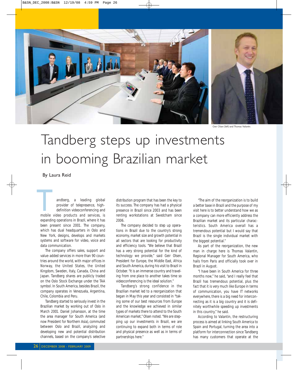

Geir Olsen (left) and Thomas Valantin.

# Tandberg steps up investments in booming Brazilian market

#### By Laura Reid

andberg, a leading global provider of telepresence, highdefinition videoconferencing and andberg, a leading global<br>provider of telepresence, high-<br>definition videoconferencing and<br>mobile video products and services, is expanding operations in Brazil, where it has been present since 2001. The company, which has dual headquarters in Oslo and New York, designs, develops and markets systems and software for video, voice and data communication.

The company offers sales, support and value-added services in more than 90 countries around the world, with major offices in Norway, the United States, the United Kingdom, Sweden, Italy, Canada, China and Japan. Tandberg shares are publicly traded on the Oslo Stock Exchange under the TAA symbol. In South America, besides Brazil, the company operates in Venezuela, Argentina, Chile, Colombia and Peru.

Tandberg started to seriously invest in the Brazilian market by working out of Oslo in March 2001. Daniel Johansson, at the time the area manager for South America (and now President for Northern Asia), commuted between Oslo and Brazil, analyzing and developing new and potential distribution channels, based on the company's selective

distribution program that has been the key to its success. The company has had a physical presence in Brazil since 2003 and has been renting workstations at Swedcham since 2006.

The company decided to step up operations in Brazil due to the country's strong economy, market size and growth potential in all sectors that are looking for productivity and efficiency tools. "We believe that Brazil has a very strong potential for the kind of technology we provide," said Geir Olsen, President for Europe, the Middle East, Africa and South America, during his visit to Brazil in October. "It is an immense country and traveling from one place to another takes time so videoconferencing is the ideal solution."

Tandberg's strong confidence in the Brazilian market led to a reorganization that began in May this year and consisted in "taking some of our best resources from Europe and the knowledge we achieved in similar types of markets there to attend to the South American market," Olsen noted. "We are stepping up our investments in Brazil, we are continuing to expand both in terms of role and physical presence as well as in terms of partnerships here."

"The aim of the reorganization is to build a better base in Brazil and the purpose of my visit here is to better understand how we as a company can more efficiently address the Brazilian market and its particular characteristics. South America overall has a tremendous potential but I would say that Brazil is the single individual market with the biggest potential."

As part of the reorganization, the new man in charge here is Thomas Valantin, Regional Manager for South America, who hails from Paris and officially took over in Brazil in August.

"I have been in South America for three months now," he said, "and I really feel that Brazil has tremendous potential, plus the fact that it is very much like Europe in terms of communication, you have IT networks everywhere, there is a big need for interconnecting as it is a big country and it is definitely worthwhile speeding up investments in this country," he said.

According to Valantin, the restructuring process is aimed at linking South America to Spain and Portugal, turning the area into a platform for interconnection since Tandberg has many customers that operate at the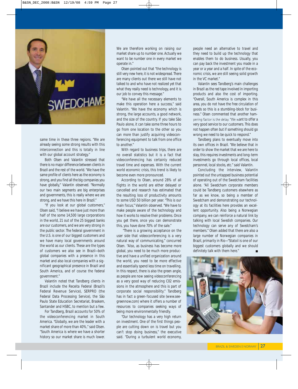

same time in these three regions. "We are already seeing some strong results with this interconnection and this is totally in line with our global account strategy."

Both Olsen and Valantin stressed that there is no major difference between clients in Brazil and the rest of the world. "We have the same profile of clients here as the economy is strong, and you find all the big companies you have globally," Valantin observed. "Normally our two main segments are big enterprises and governments, this is really where we are strong, and we have this here in Brazil."

"If you look at our global customers," Olsen said, "I believe we have just more than half of the some 14,500 large corporations in the world, 21 out of the 25 biggest banks are our customers, and we are very strong in the public sector. The federal government in the U.S. is one of our biggest customers and we have many local governments around the world as our clients. These are the types of customers we also see in Brazil—both global companies with a presence in this market and also local companies with a significant geographical presence in Brazil and South America, and of course the federal government."

Valantin noted that Tandberg clients in Brazil include the Receita Federal (Brazil's Federal Revenue Service), SERPRO (the Federal Data Processing Service), the São Paulo State Education Secretariat, Braskem, Santander and HSBC, to mention but a few.

For Tandberg, Brazil accounts for 50% of the videoconferencing market in South America. "Globally, we are the leader with a market share of more than 40%," said Olsen. "South America is where we have a shorter history so our market share is much lower.

We are therefore working on raising our market share up to number one. Actually we want to be number one in every market we operate in."

Olsen pointed out that "the technology is still very new here, it is not widespread. There are many clients out there we still have not talked to and who have not realized yet that what they really need is technology, and it is our job to convey this message."

"We have all the necessary elements to make this operation here a success," said Valantin. "We have the economy which is strong, the large accounts, a good network, and the size of the country. If you take São Paulo alone, it can take some three hours to go from one location to the other so you can more than justify acquiring videoconferencing equipment to talk from one office to another."

With regard to business trips, there are no overall statistics but it is a fact that videoconferencing has certainly reduced travel time and expenses. With the current world economic crisis, this trend is likely to become even more pronounced.

According to Olsen, around 28% of all flights in the world are either delayed or cancelled and research has estimated that the resulting loss of productivity amounts to some USD 50 billion per year. "This is our main focus," Valantin observed. "We have to make people aware of the technology and how it works to resolve their problems. Once you get there, once you can demonstrate this, you have done 70% of the sale."

"There is a growing acceptance on the user side that videoconferencing is a very natural way of communicating," concurred Olsen. "Also, as business has become more global, you need to be much more productive and have a unified organization around the world, you need to be more effective and essentially spend less time on travelling. In this respect, there is also the green angle, as people are now seeing videoconferencing as a very good way of reducing C02 emissions in the atmosphere and this is part of corporate social responsibility." Tandberg has in fact a green-focused site (www.seegreennow.com) where it offers a number of resources to companies seeking ways of being more environmentally friendly.

"Our technology has a very high return on investment. One of the first things people are cutting down on is travel but you can't stop doing business," the executive said. "During a turbulent world economy,

people need an alternative to travel and they need to build up the technology that enables them to do business. Usually, you can pay back the investment you made in a year or a year and a half. In spite of the economic crisis, we are still seeing solid growth in the VC market."

Valantin sees Tandberg's main challenges in Brazil as the red tape involved in importing products and also the cost of importing. "Overall, South America is complex in this area, you do not have the free circulation of goods so this is a stumbling-block for business." Olsen commented that another hampering factor is the delay. "We want to offer a very good service to our customers. This does not happen often but if something should go wrong we need to be quick to respond."

Tandberg plans to eventually move into its own offices in Brazil. "We believe that in order to show the market that we are here to stay, this requires investments and long-term investments go through local offices, local personnel, local stocks, etc." said Valantin.

Concluding the interview, Valantin pointed out the untapped business potential of operating out of the Swedcham facilities alone. "All Swedcham corporate members could be Tandberg customers elsewhere as far as we know, so being a member of Swedcham and demonstrating our technology at its facilities here provides an excellent opportunity. Also being a Norwegian company, we can reinforce a natural link by talking with local Swedish companies. Our technology can serve any of Swedcham's members." Olsen added that there are also a large number of Norwegian companies in Brazil, primarily in Rio—"Statoil is one of our biggest customers globally and we should definitely talk with them here."  $\blacksquare$ 

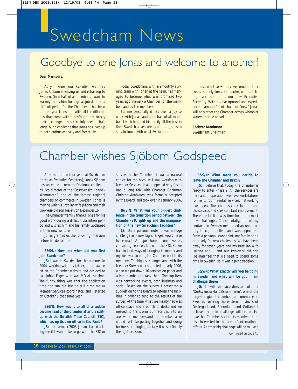# Swedcham News

## Goodbye to one Jonas and welcome to another!

#### **Dear Members,**

As you know, our Executive Secretary Jonas Sjöbom is leaving us and returning to Sweden. On behalf of all members, I want to warmly thank him for a great job done in a difficult period for the Chamber. It has been a three-year transition with all the difficulties that come with a profound, not to say radical, change. It has certainly been a challenge, but a challenge that Jonas has lived up to both enthusiastically and forcefully.

Today Swedcham, with a smoothly running team with Johan at the helm, has managed to become what was promised two years ago, namely a Chamber for the members and by the members.

For me personally it has been a joy to work with Jonas, and on behalf of all members I wish him and his family all the best in their Swedish adventure. I count on Jonas to stay in touch with us at Swedcham!

I also want to warmly welcome another Jonas, namely Jonas Lindström, who is taking over the job as our new Executive Secretary. With his background and experience, I am confident that our "new" Jonas will ably steer the Chamber across whatever waters that lie ahead.

**Christer Manhusen Swedcham Chairman**

## Chamber wishes Sjöbom Godspeed

After more than four years at Swedcham (three as Executive Secretary), Jonas Sjöbom has accepted a new professional challenge as vice-director of the "Oestsvenska Handelskammaren", one of the largest regional chambers of commerce in Sweden. Jonas is moving with his Brazilian wife Juliana and their two-year-old son Joakim on December 16.

The Chamber warmly thanks Jonas for his good work during a difficult transition period and wishes him and his family Godspeed in their new venture!

Jonas granted us the following interview before his departure:

#### **B&S/N: How and when did you first join Swedcham?**

**JS:** I was in Sweden for the summer in 2004, working with my father, and I saw an ad on the Chamber website and decided to call Johan Fager, who was MD at the time. The funny thing was that the application time had run out but he still hired me as Member Services coordinator, and I started on October 1 that same year.

#### **B&S/N: How was it to all of a sudden become head of the Chamber after the splitup with the Swedish Trade Council (STC), which set up its own office in São Paulo?**

**JS:** In November 2005, Johan started asking me if I would like to go with the STC or

stay with the Chamber. It was a natural choice for me because I was working with Member Services. It all happened very fast. I had a long talk with Chamber Chairman Christer Manhusen, was formally accepted by the Board, and took over in January 2006.

#### **B&S/N: What was your biggest challenge in the transition period between the Chamber-STC split-up and the inauguration of the new Swedcham facilities?**

**JS:** On a personal note it was a huge challenge as I new big changes would have to be made. A major chunk of our revenue, consulting services, left with the STC. So we had to fInd ways of bringing in money and my idea was to bring the Chamber back to its members. The biggest change came with the Member Survey we conducted in early 2006, when we put down 16 services on paper and asked members to rank them. The top item was networking events, both business and social. Based on the survey, I presented a suggestion to the Board to reform the facilities in order to tend to the results of the survey. At the time, what we mainly had was office space and a bunch of desks and we needed to transform our facilities into an area where members and non-members alike would feel like getting together and doing business or mingling socially. It was definitely the right decision.

#### **B&S/N: What made you decide to leave the Chamber and Brazil?**

**JS:** I believe that, today, the Chamber is ready to enter Phase 2. All the services are here and in operation, we have workstations for rent, room rental services, networking events, etc. The time has come to fine-tune the services and seek constant improvement. Therefore I felt it was time for me to meet new challenges. Coincidentally, one of my contacts in Sweden mentioned an opportunity there, I applied, and was appointed! From a personal standpoint, my family and I are ready for new challenges. We have been away for seven years and my Brazilian wife Juliana and I (and our two-year old son Joakim!) feel that we need to spend some time in Sweden, so it was a joint decision.

#### **B&S/N: What exactly will you be doing in Sweden and what will be your main challenge there?**

**JS:** I will be vice-director of the "Oestsvenska Handelskammaren", one of the largest regional chambers of commerce in Sweden, covering the eastern provinces of Oestergoetland, Soermland and Gotland. I believe my main challenge will be to also take that Chamber back to its members. I am also interested in the area of international affairs. Another big challenge will be to live a

*Continued on page 41*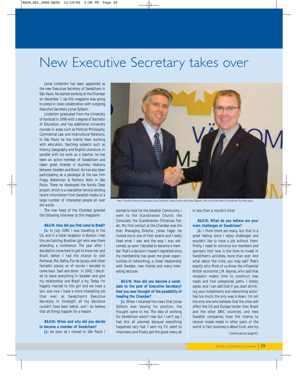## New Executive Secretary takes over

Jonas Lindström has been appointed as the new Executive Secretary of Swedcham in São Paulo. He started working at the Chamber on December 1 (as this magazine was going to press) in close collaboration with outgoing Executive Secretary Jonas Sjöbom.

Lindström graduated from the University of Karlstad in 1996 with a degree of Bachelor of Education, and has additional University courses in areas such as Political Philosophy, Commercial Law and Intercultural Relations. In São Paulo he has mainly been working with education, teaching subjects such as History, Geography and English Literature. In parallel with his work as a teacher, he has been an active member of Swedcham and taken great interest in business relations between Sweden and Brazil. He has also been participating as a paralegal at the law firm Fraga, Bekierman & Pacheco Neto in São Paulo. There he developed the Nordic Desk project, which is a newsletter service sending recent information from Swedish media to a large number of interested people all over the world.

The new head of the Chamber granted the following interview to this magazine:

#### **B&S/N: How did you first come to Brazil?**

**JL:** In July 2000, I was travelling in the US, and in a hotel reception in Boston I met this enchanting Brazilian girl who was there attending a conference. The year after, I decided to come here to get to know her, and Brazil, better. I had the chance to visit Pantanal, Rio, Bahia, Foz de Iguaçu and other fantastic places, so of course I decided to come back. Said and done: in 2002, I decided to leave everything in Sweden and give my relationship and Brazil a try. Today I'm happily married to this girl and we have a son, and now I have a more interesting job than ever, as Swedcham's Executive Secretary. In hindsight all my decisions couldn't have been better, and I do believe that all things happen for a reason.

**B&S/N: When and why did you decide to become a member of Swedcham?**

**JL:** As soon as I moved to São Paulo I



New Chamber Executive Secretary Jonas Lindström shakes hands with Jonas Sjöbom, who was at the helm of Swedcham for three years.

started to look for the Swedish Community. I went to the Scandinavian Church, the Consulate, the Scandinavian Christmas Fair, etc. My first contact at the Chamber was the then Managing Director, Johan Fager. He invited me to one of their events and I really liked what I saw and the way I was welcomed, so soon I decided to become a member. That's a decision I haven't regretted since my membership has given me great opportunities of networking, a closer relationship with Sweden, new friends and many interesting lectures.

#### **B&S/N: How did you become a candidate to the post of Executive Secretary? Had you ever thought of the possibility of heading the Chamber?**

**JL:** When I received the news that Jonas Sjöbom was leaving his position, the thought came to me. The idea of working for Swedcham wasn't new but I can't say I had this all planned because everything happened very fast. I sent my CV, went to interviews and finally got the good news, all in less than a month's time!

**B&S/N: What do you believe are your main challenges at Swedcham?**

**JL:** I think there are many, but that is a great feeling since I enjoy challenges and wouldn't like to have a job without them. Firstly, I need to convince our members and sponsors that now is the time to invest in Swedcham's activities, more than ever. And what about the crisis, you may ask? That's exactly why. Most of us know the influential British economist J.M. Keynes, who said that recession means time to construct new roads and find unexplored paths. I totally agree, and I can add that if you start shrinking your investments and networking activities too much, the only way is down. I'm not the only one who believes that the crisis will affect the US and Europe harder than Brazil and the other BRIC countries, and here Swedish companies have the chance to recover losses made in other parts of the world. In fact, business is about trust, and my *Continued on page 41*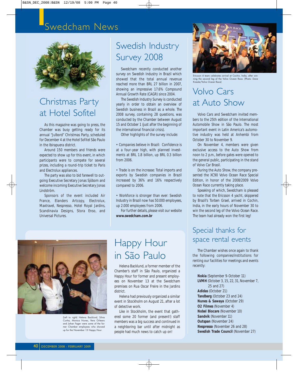### Swedcham News



### Christmas Party at Hotel Sofitel

As this magazine was going to press, the Chamber was busy getting ready for its annual "Julbord" Christmas Party, scheduled for December 4 at the Hotel Sofitel São Paulo in the Ibirapuera district.

Around 150 members and friends were expected to show up for this event, in which participants were to compete for several prizes, including a round-trip ticket to Paris and Electrolux appliances.

The party was also to bid farewell to outgoing Executive Secretary Jonas Sjöbom and welcome incoming Executive Secretary Jonas Lindström.

Sponsors of the event included Air France, Elanders Artcopy, Electrolux, Maxtravel, Nespresso, Hotel Royal Jardins, Scandinavia Designs, Stora Enso, and Universal Pictures.

### Swedish Industry Survey 2008

Swedcham recently conducted another survey on Swedish Industry in Brazil which showed that the total annual revenue reached more than BRL 27 billion in 2007, showing an impressive 17.6% Compound Annual Growth Rate (CAGR) since 2004.

The Swedish Industry Survey is conducted yearly in order to obtain an overview of Swedish business in Brazil as a whole. The 2008 survey, containing 28 questions, was conducted by the Chamber between August 15 and October 1 (just after the beginning of the international financial crisis).

Other highlights of the survey include:

• Companies believe in Brazil: Confidence is at a four-year high, with planned investments at BRL 1.8 billion, up BRL 0.3 billion from 2006.

• Trade is on the increase: Total imports and exports by Swedish companies in Brazil increased by 36% and 16% respectively compared to 2006.

• Workforce is stronger than ever: Swedish Industry in Brazil now has 50.000 employees, up 2.000 employees from 2006.

For further details, please visit our website **www.swedcham.com.br**



(Left to right) Helena Backlund, Silvia Cunha, Monica Nunes, Vera Orleans and Johan Fager were some of the former Chamber employees who showed up for the November 13 Happy Hour.

### Happy Hour in São Paulo

Helena Backlund, a former member of the Chamber's staff in São Paulo, organized a Happy Hour for former and present employees on November 13 at the Swedcham premises on Rua Oscar Freire in the Jardins district.

Helena had previously organized a similar event in Stockholm on August 21, after a lot of detective work.

Like in Stockholm, the event that gathered some 20 former (and present!) staff members was a big success and continued in a neighboring bar until after midnight as people had much news to catch up on!



Ericsson 4 team celebrates arrival at Cochin, India, after winning the second leg of the Volvo Ocean Race. (Photo: Dave Kneale/Volvo Ocean Race)

### Volvo Cars at Auto Show

Volvo Cars and Swedcham invited members to the 25th edition of the International Automobile Show in São Paulo. The most important event in Latin America's automotive industry was held at Anhembi from October 30 to November 9.

On November 4, members were given exclusive access to the Auto Show from noon to 2 p.m., before gates were opened to the general public, participating in the stand of Volvo Car Brasil.

During the Auto Show, the company presented the XC90 Volvo Ocean Race Special Edition, in honor of the 2008/2009 Volvo Ocean Race currently taking place.

Speaking of which, Swedcham is pleased to note that the Ericsson 4 yacht, skippered by Brazil's Torben Grael, arrived in Cochin, India, in the early hours of November 30 to win the second leg of the Volvo Ocean Race. The team had already won the first leg!

### Special thanks for space rental events

The Chamber wishes once again to thank the following companies/institutions for renting our facilities for meetings and events recently:

**Nokia** (September 9-October 11) **LVMH** (October 3, 15, 22, 31, November 7, 25 and 27) **Adidas** (October 21) **Tandberg** (October 23 and 24) **Nunes & Sawaya** (October 29) **O2 Filmes** (November 4) **Nobel Biocare** (November 10) **Sandvik** (November 11) **Outspan** (November 24) **Nespresso** (November 26 and 28) **Swedish Trade Council** (November 27)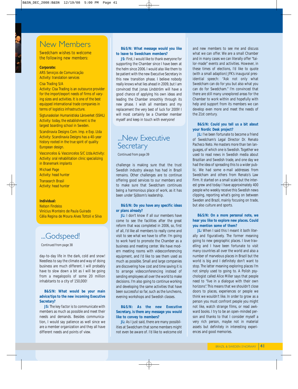### New Members

Swedcham wishes to welcome the following new members:

#### **Corporate:**

ARS Serviços de Comunicação Activity: translation services

#### Cisa Trading S/A

Activity: Cisa Trading is an outsource provider for the import/export needs of firms of varying sizes and activities. It is one of the best equipped international trade companies in terms of logistics infrastructure.

Sigtunaskolan Humanistiska Läroverket (SSHL) Activity: today, the establishment is the largest boarding school in Sweden.

Scandinavia Designs Com. Imp. e Exp. Ltda Activity: Scandinavia Designs has a 40-year history rooted in the true spirit of quality European design.

Vasconcelos & Vasconcelos S/C Ltda.Activity: Activity: oral rehabilitation clinic specializing in Branemark implants

Michael Page Activity: head hunter

Transearch Brasil Activity: head hunter

#### **Individual:**

Nelson Findeiss Vinícius Monteiro de Paula Guirado Célia Regina de Moura Alves Tottoli e Silva

### ...Godspeed!

*Continued from page 38*

day-to-day life in the dark, cold and snow! Needless to say the climate and way of doing business are much different. I will probably have to slow down a bit as I will be going from a megalopolis of some 20 million inhabitants to a city of 150,000!

#### **B&S/N: What would be your main advice/tips to the new incoming Executive Secretary?**

**JS:** The key factor is to communicate with members as much as possible and meet their needs and demands. Besides communication, I would say patience as well since we are a member organization and they all have different needs and points of view.

#### **B&S/N: What message would you like to leave to Swedcham members?**

**JS:** First, I would like to thank everyone for supporting the Chamber since I have been at the helm since 2006. I would also like them to be patient with the new Executive Secretary in this new transition phase. I believe nobody really knows what lies ahead in 2009, but I am convinced that Jonas Lindström will have a good chance of applying his own ideas and leading the Chamber smoothly through its new phase. I wish all members and my replacement the very best of luck for 2009! I will most certainly be a Chamber member myself and keep in touch with everyone!

### ...New Executive **Secretary**

*Continued from page 39*

challenge is making sure that the trust Swedish industry always has had in Brazil remains. Other challenges are to continue offering good services to our members and to make sure that Swedcham continues being a harmonious place of work, as it has been under Sjöbom's leadership.

#### **B&S/N: Do you have any specific ideas or plans already?**

**JL:** I don't know if all our members have come to see the facilities after the great reform that was completed in 2006, so, first of all, I'd like all members to really come and visit to see what we have to offer. I'm going to work hard to promote the Chamber as a business and meeting center. We have modern meeting rooms with videoconferencing equipment, and I'd like to see them used as much as possible. Small and large companies are discovering how cost and time saving it is to arrange videoconferencing instead of sending employees all over the world to make decisions. I'm also going to continue working and developing the same activities that have been successful so far, such as the luncheons, evening workshops and Swedish classes.

#### **B&S/N: As the new Executive Secretary, is there any message you would like to convey to members?**

**JL:** As I just said, there are many possibilities at Swedcham that some members might not even be aware of. I'd like to welcome old

and new members to see me and discuss what we can offer. We are a small Chamber and in many cases we can literally offer "tailor-made" events and activities. However, in these times of elections, I'd like to quote (with a small adaption) JFK's inaugural presidential speech: "Ask not only what Swedcham can do for you but also what you can do for Swedcham." I'm convinced that there are still many unexplored areas for the Chamber to work within and hopefully with help and support from its members we can develop even more and meet the needs of the 21st century.

#### **B&S/N: Could you tell us a bit about your Nordic Desk project?**

**JL:** I've been fortunate to become a friend of Swedcham's Legal Director Dr. Renato Pacheco Neto. He masters more than ten languages, of which one is Swedish. Together we used to read news in Swedish media about Brazilian and Swedish trade, and one day we had the idea of spreading this to a wider public. We had some e-mail addresses from Swedcham and others from Renato's Law Firm. It started on a small scale but the interest grew and today I have approximately 400 people who weekly receive this Swedish news clipping, reporting what's going on between Sweden and Brazil, mainly focusing on trade, but also culture and sports.

#### **B&S/N: On a more personal note, we hear you like to explore new places. Could you mention some of them?**

**JL:** When I said this I meant it both literally and figuratively. The former meaning going to new geographic places. I love travelling and I have been fortunate to visit many countries all over the world and also a number of marvelous places in Brazil but the world is big and I definitely don't want to stop. The latter meaning exploring places I'm not simply used to going to. A Polish psychologist called Alice Miller says that people need to "live in a dialogue with their own horizons". This means that we shouldn't close doors to places, experiences or people we think we wouldn't like. In order to grow as a person you must confront people you might not like, watch strange films, or read awkward books. I try to be an open-minded person and thanks to that I consider myself a very rich person, maybe not in material assets but definitely in interesting experiences and good memories.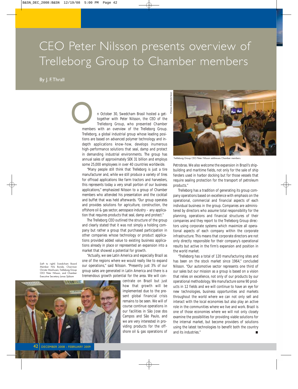## CEO Peter Nilsson presents overview of Trelleborg Group to Chamber members

#### By J. F. Thrall

n October 30, Swedcham Brasil hosted a gettogether with Peter Nilsson, the CEO of the Trelleborg Group, who presented Chamber members with an overview of the Trelleborg Group. Trelleborg, a global industrial group whose leading positions are based on advanced polymer technology and indepth applications know-how, develops inumerous high-performance solutions that seal, damp and protect in demanding industrial environments. The group has annual sales of approximately SEK 31 billion and employs some 25,000 employees in over 40 countries worldwide. **O**<br>membe

> "Many people still think that Trelleborg is just a tire manufacturer and, while we still produce a variety of tires for offroad applications like farm tractors and harvesters, this represents today a very small portion of our business applications," emphasized Nilsson to a group of Chamber members who attended his presentation and the cocktail and buffet that was held afterwards. "Our group operates and provides solutions for agriculture, construction, the offshore oil & gas sector, aerospace industry – any application that requires products that seal, damp and protect."

> The Trelleborg CEO outlined the structure of the group and clearly stated that it was not simply a holding company but rather a group that purchased participation in other companies whose technology or product applications provided added value to existing business applications already in place or represented an expansion into a market that showed a potential for growth.

> "Actually, we see Latin America and especially Brazil as one of the regions where we would really like to expand our operations," said Nilsson. "Presently just 3% of our group sales are generated in Latin America and there is a tremendous growth potential for the area. We will con-

(Left to right) Swedcham Board Member Nils Bonde, Chairman Christer Manhusen, Trelleborg Group CEO Peter Nilsson, and Chamber Executive Secretary Jonas Sjöbom



centrate on Brazil but just how that growth will be implemented due to the present global financial crisis remains to be seen. We will of course continue operations in our facilities in São Jose dos Campos and São Paulo, and we are very interested in providing products for the offshore oil & gas operations of



Trelleborg Group CEO Peter Nilsson addresses Chamber members.

Petrobras. We also welcome the expansion in Brazil's shipbuilding and maritime fields, not only for the sale of ship fenders used in harbor docking but for those vessels that require sealing protection for the transport of petroleum products."

Trelleborg has a tradition of generating its group company operations based on excellence with emphasis on the operational, commercial and financial aspects of each individual business in the group. Companies are administered by directors who assume total responsibility for the planning, operations and financial structures of their companies and they report to the Trelleborg Group directors using corporate systems which maximize all operational aspects of each company within the corporate infrastructure. This means that corporate directors are not only directly responsible for their company's operational results but active in the firm's expansion and position in the world market.

"Trelleborg has a total of 120 manufacturing sites and has been on the stock market since 1964," concluded Nilsson. "Our automotive sector represents one third of our sales but our mission as a group is based on a vision that relies on excellence, not only of our products by our operational methodology. We manufacture some 90 products in 12 fields and we will continue to have an eye for new technologies, business opportunities and markets throughout the world where we can not only sell and interact with the local economies but also play an active role in the communities where we live and work. Brazil is one of those economies where we will not only closely examine the possibilities for providing viable solutions for the internal market, but become providers of solutions using the latest technologies to benefit both the country and its industries."